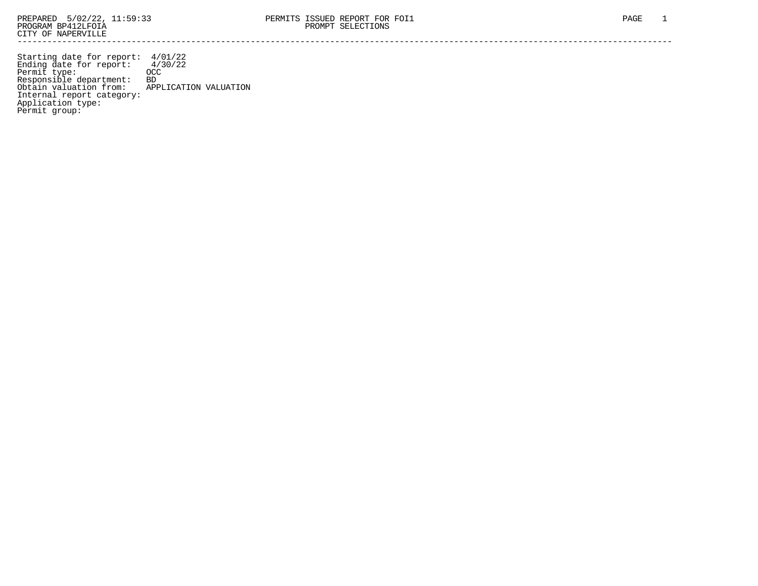Starting date for report: 4/01/22 Ending date for report: 4/30/22 Permit type: OCC Responsible department: BD Obtain valuation from: APPLICATION VALUATION Internal report category: Application type: Permit group: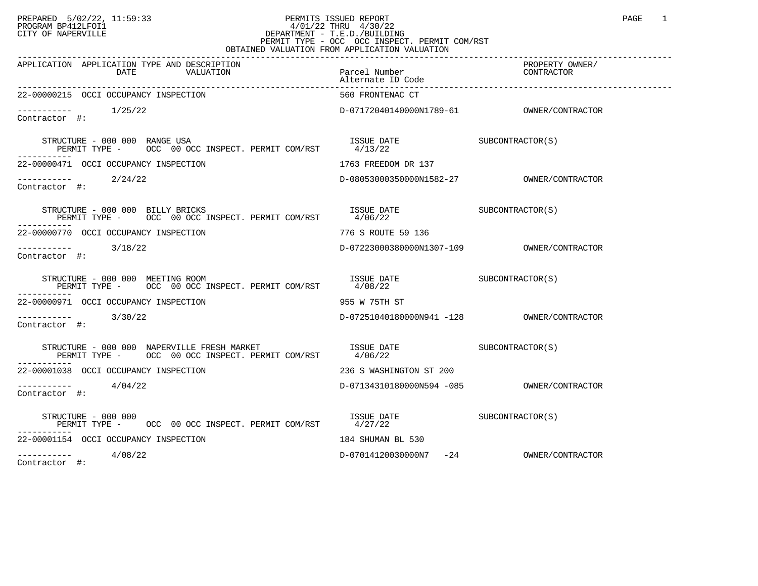## PREPARED 5/02/22, 11:59:33 PERMITS ISSUED REPORT PAGE 1 PROGRAM BP412LFOI1 4/01/22 THRU 4/30/22 CITY OF NAPERVILLE **Example 20** CITY OF NAPERVILLE PERMIT TYPE - OCC OCC INSPECT. PERMIT COM/RST OBTAINED VALUATION FROM APPLICATION VALUATION

| APPLICATION APPLICATION TYPE AND DESCRIPTION<br>DATE<br>VALUATION                                                                                                                                                                                                                                                                    | Parcel Number                           | PROPERTY OWNER/<br>CONTRACTOR |
|--------------------------------------------------------------------------------------------------------------------------------------------------------------------------------------------------------------------------------------------------------------------------------------------------------------------------------------|-----------------------------------------|-------------------------------|
| 22-00000215 OCCI OCCUPANCY INSPECTION                                                                                                                                                                                                                                                                                                | 560 FRONTENAC CT                        |                               |
| $--------$ 1/25/22<br>Contractor #:                                                                                                                                                                                                                                                                                                  |                                         |                               |
| STRUCTURE - 000 000 RANGE USA                                                                                                                                                                                                                                                                                                        |                                         |                               |
| 22-00000471 OCCI OCCUPANCY INSPECTION                                                                                                                                                                                                                                                                                                | 1763 FREEDOM DR 137                     |                               |
| $--------$ 2/24/22<br>Contractor #:                                                                                                                                                                                                                                                                                                  | D-08053000350000N1582-27                | OWNER/CONTRACTOR              |
| RUCTURE – 000 000 BILLY BRICKS<br>PERMIT TYPE – OCC 00 OCC INSPECT. PERMIT COM/RST 4/06/22<br>STRUCTURE - 000 000 BILLY BRICKS                                                                                                                                                                                                       |                                         |                               |
| 22-00000770 OCCI OCCUPANCY INSPECTION                                                                                                                                                                                                                                                                                                | 776 S ROUTE 59 136                      |                               |
| $\frac{1}{2}$ = $\frac{1}{2}$ = $\frac{1}{2}$ = $\frac{1}{2}$ = $\frac{3}{18/22}$<br>Contractor #:                                                                                                                                                                                                                                   |                                         |                               |
| STRUCTURE - 000 000 MEETING ROOM<br>PERMIT TYPE - OCC 00 OCC INSPECT. PERMIT COM/RST 4/08/22<br>-----------                                                                                                                                                                                                                          | ISSUE DATE SUBCONTRACTOR(S)             |                               |
| 22-00000971 OCCI OCCUPANCY INSPECTION                                                                                                                                                                                                                                                                                                | 955 W 75TH ST                           |                               |
| $--------$ 3/30/22<br>Contractor #:                                                                                                                                                                                                                                                                                                  |                                         |                               |
| $\begin{tabular}{lllllllll} \texttt{STRUCTURE} & 000 & 000 & \texttt{NABERVILLE} \texttt{FRESH MARKET} & \texttt{RSSUE} \texttt{DATE} & \texttt{SUE} & \texttt{SUBCONTRACTOR(S)} \\ \texttt{PERMIT TYPE} & - & \texttt{OCC} & 00 \texttt{OCC} \texttt{INSPECT} . \texttt{PERMIT COM/RST} & 4/06/22 & & & & & & & & \\ \end{tabular}$ |                                         |                               |
| 22-00001038 OCCI OCCUPANCY INSPECTION                                                                                                                                                                                                                                                                                                | 236 S WASHINGTON ST 200                 |                               |
| $--------$ 4/04/22<br>Contractor #:                                                                                                                                                                                                                                                                                                  |                                         |                               |
| STRUCTURE - 000 000<br>PERMIT TYPE - OCC 00 OCC INSPECT. PERMIT COM/RST 4/27/22                                                                                                                                                                                                                                                      | ISSUE DATE SUBCONTRACTOR(S)             |                               |
| 22-00001154 OCCI OCCUPANCY INSPECTION                                                                                                                                                                                                                                                                                                | 184 SHUMAN BL 530                       |                               |
| 4/08/22<br>------------                                                                                                                                                                                                                                                                                                              | D-07014120030000N7 -24 OWNER/CONTRACTOR |                               |

Contractor #: